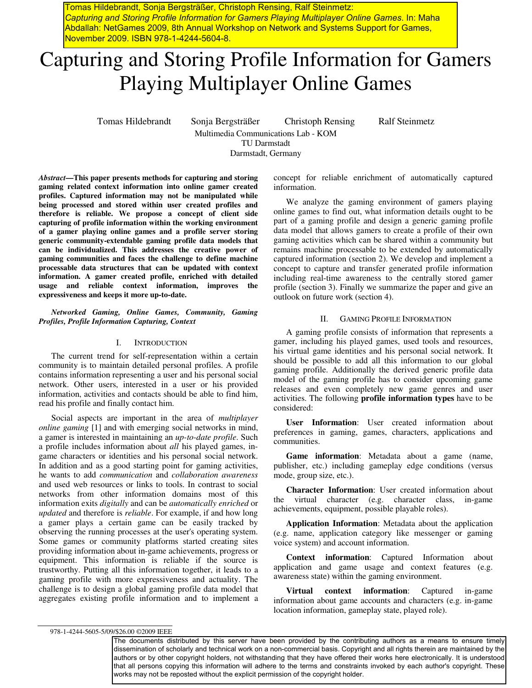Tomas Hildebrandt, Sonja Bergsträßer, Christoph Rensing, Ralf Steinmetz: *Capturing and Storing Profile Information for Gamers Playing Multiplayer Online Games*. In: Maha Abdallah: NetGames 2009, 8th Annual Workshop on Network and Systems Support for Games, November 2009. ISBN 978-1-4244-5604-8.

# Capturing and Storing Profile Information for Gamers Playing Multiplayer Online Games

Tomas Hildebrandt Sonja Bergsträßer Christoph Rensing Ralf Steinmetz Multimedia Communications Lab - KOM TU Darmstadt Darmstadt, Germany

*Abstract***—This paper presents methods for capturing and storing gaming related context information into online gamer created profiles. Captured information may not be manipulated while being processed and stored within user created profiles and therefore is reliable. We propose a concept of client side capturing of profile information within the working environment of a gamer playing online games and a profile server storing generic community-extendable gaming profile data models that can be individualized. This addresses the creative power of gaming communities and faces the challenge to define machine processable data structures that can be updated with context information. A gamer created profile, enriched with detailed usage and reliable context information, improves the expressiveness and keeps it more up-to-date.** 

*Networked Gaming, Online Games, Community, Gaming Profiles, Profile Information Capturing, Context* 

## I. INTRODUCTION

The current trend for self-representation within a certain community is to maintain detailed personal profiles. A profile contains information representing a user and his personal social network. Other users, interested in a user or his provided information, activities and contacts should be able to find him, read his profile and finally contact him.

Social aspects are important in the area of *multiplayer online gaming* [1] and with emerging social networks in mind, a gamer is interested in maintaining an *up-to-date profile*. Such a profile includes information about *all* his played games, ingame characters or identities and his personal social network. In addition and as a good starting point for gaming activities, he wants to add *communication* and *collaboration awareness* and used web resources or links to tools. In contrast to social networks from other information domains most of this information exits *digitally* and can be *automatically enriched* or *updated* and therefore is *reliable*. For example, if and how long a gamer plays a certain game can be easily tracked by observing the running processes at the user's operating system. Some games or community platforms started creating sites providing information about in-game achievements, progress or equipment. This information is reliable if the source is trustworthy. Putting all this information together, it leads to a gaming profile with more expressiveness and actuality. The challenge is to design a global gaming profile data model that aggregates existing profile information and to implement a

concept for reliable enrichment of automatically captured information.

We analyze the gaming environment of gamers playing online games to find out, what information details ought to be part of a gaming profile and design a generic gaming profile data model that allows gamers to create a profile of their own gaming activities which can be shared within a community but remains machine processable to be extended by automatically captured information (section 2). We develop and implement a concept to capture and transfer generated profile information including real-time awareness to the centrally stored gamer profile (section 3). Finally we summarize the paper and give an outlook on future work (section 4).

## II. GAMING PROFILE INFORMATION

A gaming profile consists of information that represents a gamer, including his played games, used tools and resources, his virtual game identities and his personal social network. It should be possible to add all this information to our global gaming profile. Additionally the derived generic profile data model of the gaming profile has to consider upcoming game releases and even completely new game genres and user activities. The following **profile information types** have to be considered:

**User Information**: User created information about preferences in gaming, games, characters, applications and communities.

**Game information**: Metadata about a game (name, publisher, etc.) including gameplay edge conditions (versus mode, group size, etc.).

**Character Information**: User created information about the virtual character (e.g. character class, in-game achievements, equipment, possible playable roles).

**Application Information**: Metadata about the application (e.g. name, application category like messenger or gaming voice system) and account information.

**Context information**: Captured Information about application and game usage and context features (e.g. awareness state) within the gaming environment.

**Virtual context information**: Captured in-game information about game accounts and characters (e.g. in-game location information, gameplay state, played role).

978-1-4244-5605-5/09/\$26.00 ©2009 IEEE

The documents distributed by this server have been provided by the contributing authors as a means to ensure timely dissemination of scholarly and technical work on a non-commercial basis. Copyright and all rights therein are maintained by the authors or by other copyright holders, not withstanding that they have offered their works here electronically. It is understood that all persons copying this information will adhere to the terms and constraints invoked by each author's copyright. These works may not be reposted without the explicit permission of the copyright holder.